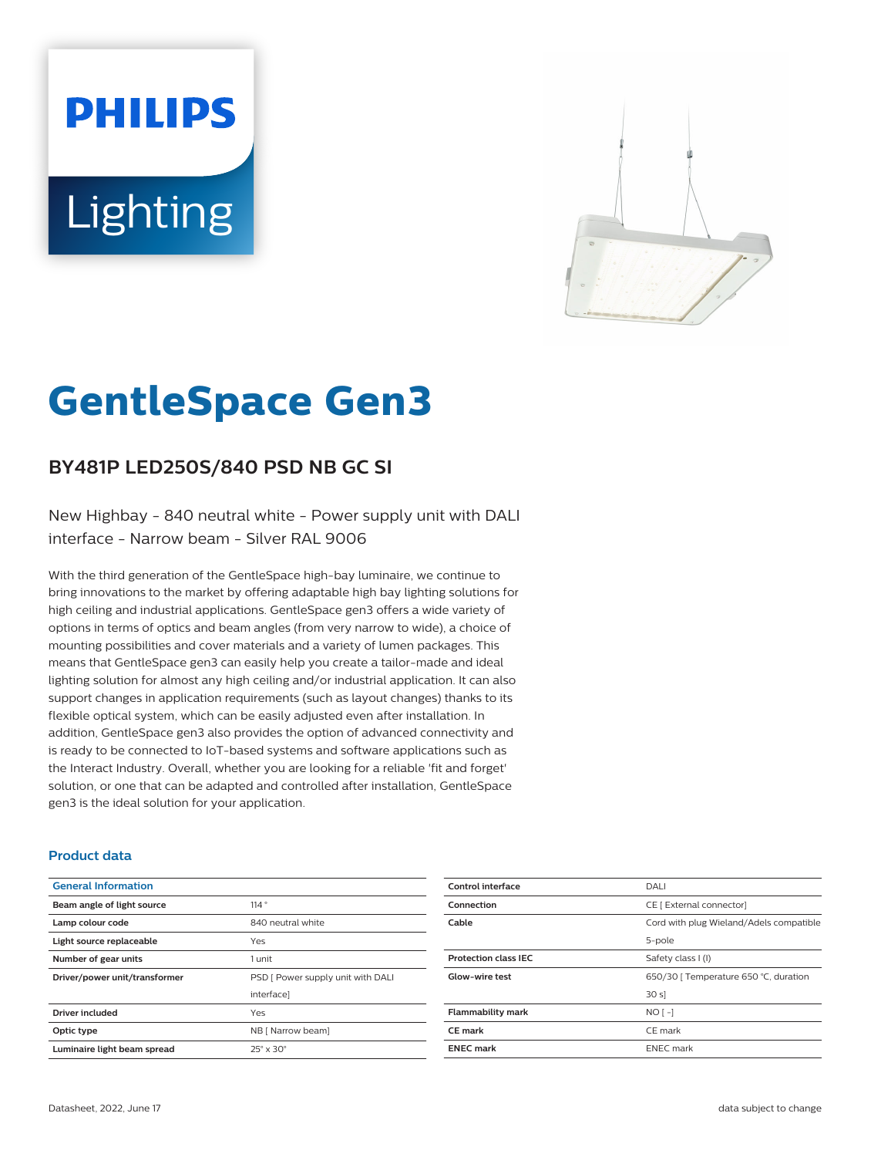# **PHILIPS Lighting**



# **GentleSpace Gen3**

# **BY481P LED250S/840 PSD NB GC SI**

New Highbay - 840 neutral white - Power supply unit with DALI interface - Narrow beam - Silver RAL 9006

With the third generation of the GentleSpace high-bay luminaire, we continue to bring innovations to the market by offering adaptable high bay lighting solutions for high ceiling and industrial applications. GentleSpace gen3 offers a wide variety of options in terms of optics and beam angles (from very narrow to wide), a choice of mounting possibilities and cover materials and a variety of lumen packages. This means that GentleSpace gen3 can easily help you create a tailor-made and ideal lighting solution for almost any high ceiling and/or industrial application. It can also support changes in application requirements (such as layout changes) thanks to its flexible optical system, which can be easily adjusted even after installation. In addition, GentleSpace gen3 also provides the option of advanced connectivity and is ready to be connected to IoT-based systems and software applications such as the Interact Industry. Overall, whether you are looking for a reliable 'fit and forget' solution, or one that can be adapted and controlled after installation, GentleSpace gen3 is the ideal solution for your application.

#### **Product data**

| <b>General Information</b>    |                                   |
|-------------------------------|-----------------------------------|
| Beam angle of light source    | 114°                              |
| Lamp colour code              | 840 neutral white                 |
| Light source replaceable      | Yes                               |
| Number of gear units          | 1 unit                            |
| Driver/power unit/transformer | PSD [ Power supply unit with DALI |
|                               | interface]                        |
| <b>Driver included</b>        | Yes                               |
| Optic type                    | NB [ Narrow beam]                 |
| Luminaire light beam spread   | $25^\circ \times 30^\circ$        |

| Control interface           | DALI                                    |
|-----------------------------|-----------------------------------------|
| Connection                  | CE [ External connector]                |
| Cable                       | Cord with plug Wieland/Adels compatible |
|                             | 5-pole                                  |
| <b>Protection class IEC</b> | Safety class I (I)                      |
| Glow-wire test              | 650/30   Temperature 650 °C, duration   |
|                             | 30 s                                    |
| <b>Flammability mark</b>    | $NO$ [ -]                               |
| <b>CE</b> mark              | CE mark                                 |
| <b>ENEC mark</b>            | <b>ENEC</b> mark                        |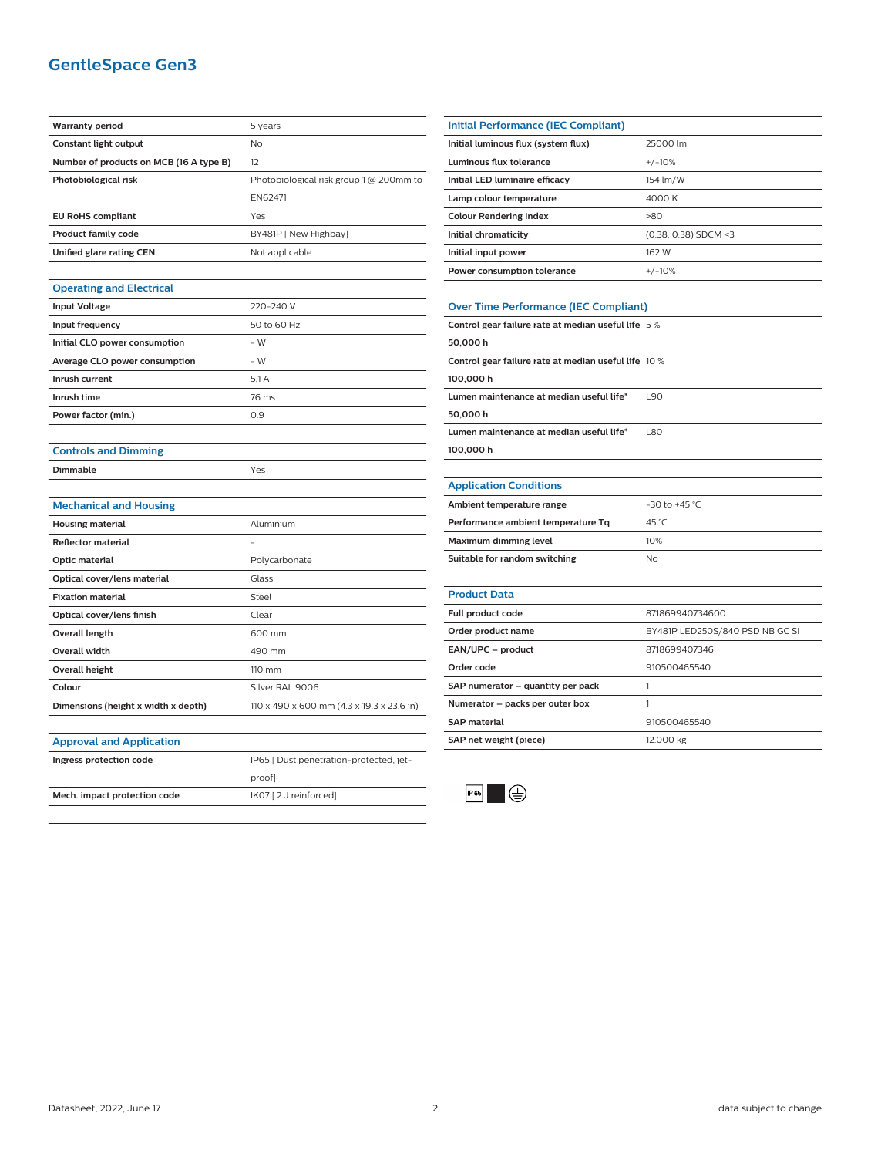## **GentleSpace Gen3**

| <b>Warranty period</b>                  | 5 years                                   |
|-----------------------------------------|-------------------------------------------|
| Constant light output                   | <b>No</b>                                 |
| Number of products on MCB (16 A type B) | 12                                        |
| Photobiological risk                    | Photobiological risk group 1 @ 200mm to   |
|                                         | EN62471                                   |
| <b>EU RoHS compliant</b>                | Yes                                       |
| <b>Product family code</b>              | BY481P [ New Highbay]                     |
| Unified glare rating CEN                | Not applicable                            |
|                                         |                                           |
| <b>Operating and Electrical</b>         |                                           |
| <b>Input Voltage</b>                    | 220-240 V                                 |
| Input frequency                         | 50 to 60 Hz                               |
| Initial CLO power consumption           | - W                                       |
| Average CLO power consumption           | $-W$                                      |
| Inrush current                          | 5.1A                                      |
| Inrush time                             | 76 ms                                     |
| Power factor (min.)                     | 0.9                                       |
|                                         |                                           |
| <b>Controls and Dimming</b>             |                                           |
| Dimmable                                | Yes                                       |
|                                         |                                           |
| <b>Mechanical and Housing</b>           |                                           |
| <b>Housing material</b>                 | Aluminium                                 |
| <b>Reflector material</b>               |                                           |
| <b>Optic material</b>                   | Polycarbonate                             |
| Optical cover/lens material             | Glass                                     |
| <b>Fixation material</b>                | Steel                                     |
| Optical cover/lens finish               | Clear                                     |
| Overall length                          | 600 mm                                    |
| <b>Overall width</b>                    | 490 mm                                    |
| <b>Overall height</b>                   | 110 mm                                    |
| Colour                                  | Silver RAL 9006                           |
| Dimensions (height x width x depth)     | 110 x 490 x 600 mm (4.3 x 19.3 x 23.6 in) |
|                                         |                                           |
| <b>Approval and Application</b>         |                                           |
| Ingress protection code                 | IP65 [ Dust penetration-protected, jet-   |
|                                         | proof]                                    |
| Mech. impact protection code            | IK07 [2 J reinforced]                     |
|                                         |                                           |
|                                         |                                           |

| <b>Initial Performance (IEC Compliant)</b> |                        |
|--------------------------------------------|------------------------|
| Initial luminous flux (system flux)        | 25000 lm               |
| Luminous flux tolerance                    | $+/-10%$               |
| Initial LED luminaire efficacy             | 154 lm/W               |
| Lamp colour temperature                    | 4000 K                 |
| <b>Colour Rendering Index</b>              | >80                    |
| Initial chromaticity                       | $(0.38, 0.38)$ SDCM <3 |
| Initial input power                        | 162 W                  |
| Power consumption tolerance                | $+/-10%$               |
|                                            |                        |

# **Over Time Performance (IEC Compliant)**

| Control gear failure rate at median useful life 5 %  |      |
|------------------------------------------------------|------|
| 50.000h                                              |      |
| Control gear failure rate at median useful life 10 % |      |
| 100.000h                                             |      |
| Lumen maintenance at median useful life*             | L90  |
| 50.000h                                              |      |
| Lumen maintenance at median useful life*             | 1.80 |
| 100.000 h                                            |      |
|                                                      |      |

#### **Application Conditions**

j.

| Ambient temperature range          | $-30$ to $+45$ °C. |
|------------------------------------|--------------------|
| Performance ambient temperature Tq | 45 °C              |
| Maximum dimming level              | 10%                |
| Suitable for random switching      | N∩                 |

| <b>Product Data</b>               |                                 |
|-----------------------------------|---------------------------------|
| Full product code                 | 871869940734600                 |
| Order product name                | BY481P LED250S/840 PSD NB GC SI |
| EAN/UPC - product                 | 8718699407346                   |
| Order code                        | 910500465540                    |
| SAP numerator - quantity per pack |                                 |
| Numerator - packs per outer box   |                                 |
| <b>SAP</b> material               | 910500465540                    |
| SAP net weight (piece)            | 12.000 kg                       |
|                                   |                                 |